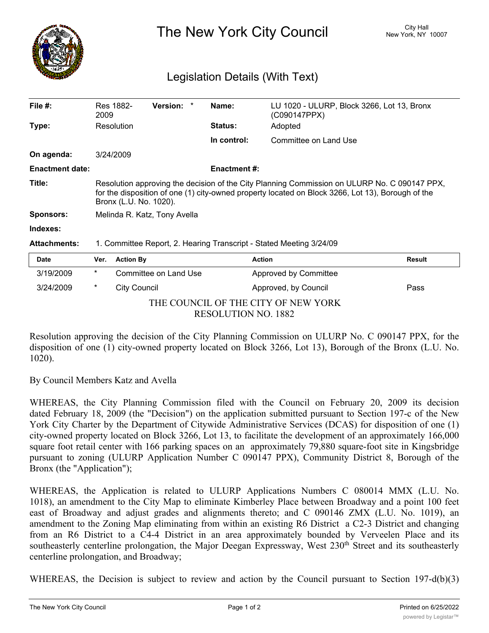

The New York City Council New York, NY 10007

## Legislation Details (With Text)

| File #:                | Res 1882-<br>2009                                                                                                                                                                                                           |                     | <b>Version:</b>       |  | Name:               | LU 1020 - ULURP, Block 3266, Lot 13, Bronx<br>(C090147PPX) |               |
|------------------------|-----------------------------------------------------------------------------------------------------------------------------------------------------------------------------------------------------------------------------|---------------------|-----------------------|--|---------------------|------------------------------------------------------------|---------------|
| Type:                  | Resolution                                                                                                                                                                                                                  |                     |                       |  | <b>Status:</b>      | Adopted                                                    |               |
|                        |                                                                                                                                                                                                                             |                     |                       |  | In control:         | Committee on Land Use                                      |               |
| On agenda:             | 3/24/2009                                                                                                                                                                                                                   |                     |                       |  |                     |                                                            |               |
| <b>Enactment date:</b> |                                                                                                                                                                                                                             |                     |                       |  | <b>Enactment #:</b> |                                                            |               |
| Title:                 | Resolution approving the decision of the City Planning Commission on ULURP No. C 090147 PPX,<br>for the disposition of one (1) city-owned property located on Block 3266, Lot 13), Borough of the<br>Bronx (L.U. No. 1020). |                     |                       |  |                     |                                                            |               |
| <b>Sponsors:</b>       | Melinda R. Katz, Tony Avella                                                                                                                                                                                                |                     |                       |  |                     |                                                            |               |
| Indexes:               |                                                                                                                                                                                                                             |                     |                       |  |                     |                                                            |               |
| <b>Attachments:</b>    | 1. Committee Report, 2. Hearing Transcript - Stated Meeting 3/24/09                                                                                                                                                         |                     |                       |  |                     |                                                            |               |
| <b>Date</b>            | Ver.                                                                                                                                                                                                                        | <b>Action By</b>    |                       |  |                     | <b>Action</b>                                              | <b>Result</b> |
| 3/19/2009              | $\ast$                                                                                                                                                                                                                      |                     | Committee on Land Use |  |                     | Approved by Committee                                      |               |
| 3/24/2009              | $\ast$                                                                                                                                                                                                                      | <b>City Council</b> |                       |  |                     | Approved, by Council                                       | Pass          |

THE COUNCIL OF THE CITY OF NEW YORK

RESOLUTION NO. 1882

Resolution approving the decision of the City Planning Commission on ULURP No. C 090147 PPX, for the disposition of one (1) city-owned property located on Block 3266, Lot 13), Borough of the Bronx (L.U. No. 1020).

By Council Members Katz and Avella

WHEREAS, the City Planning Commission filed with the Council on February 20, 2009 its decision dated February 18, 2009 (the "Decision") on the application submitted pursuant to Section 197-c of the New York City Charter by the Department of Citywide Administrative Services (DCAS) for disposition of one (1) city-owned property located on Block 3266, Lot 13, to facilitate the development of an approximately 166,000 square foot retail center with 166 parking spaces on an approximately 79,880 square-foot site in Kingsbridge pursuant to zoning (ULURP Application Number C 090147 PPX), Community District 8, Borough of the Bronx (the "Application");

WHEREAS, the Application is related to ULURP Applications Numbers C 080014 MMX (L.U. No. 1018), an amendment to the City Map to eliminate Kimberley Place between Broadway and a point 100 feet east of Broadway and adjust grades and alignments thereto; and C 090146 ZMX (L.U. No. 1019), an amendment to the Zoning Map eliminating from within an existing R6 District a C2-3 District and changing from an R6 District to a C4-4 District in an area approximately bounded by Verveelen Place and its southeasterly centerline prolongation, the Major Deegan Expressway, West 230<sup>th</sup> Street and its southeasterly centerline prolongation, and Broadway;

WHEREAS, the Decision is subject to review and action by the Council pursuant to Section 197-d(b)(3)